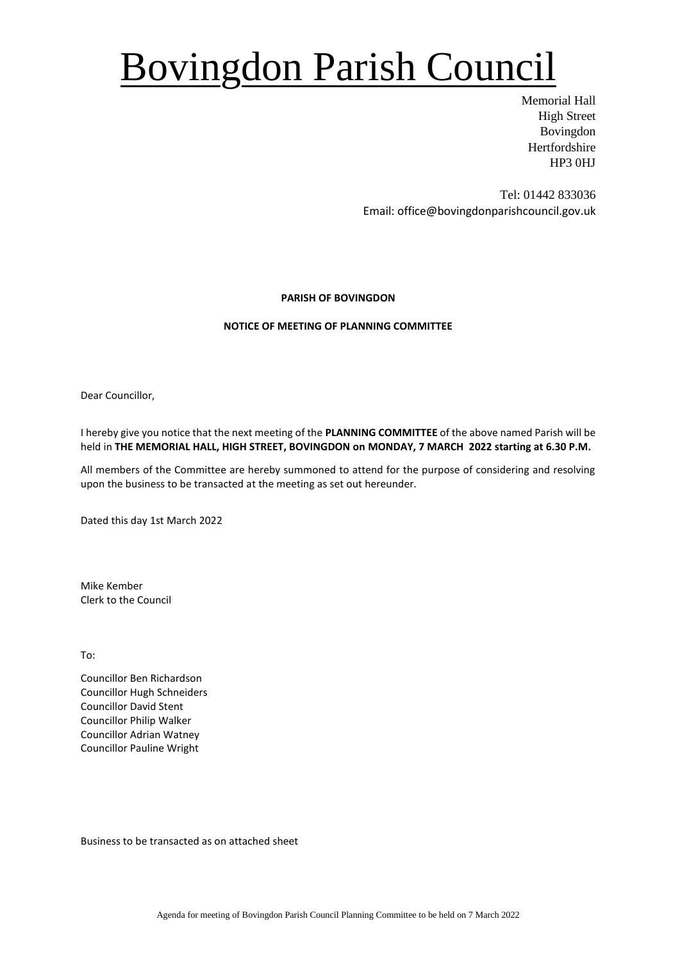# Bovingdon Parish Council

Memorial Hall High Street Bovingdon Hertfordshire HP3 0HJ

Tel: 01442 833036 Email: office@bovingdonparishcouncil.gov.uk

### **PARISH OF BOVINGDON**

### **NOTICE OF MEETING OF PLANNING COMMITTEE**

Dear Councillor,

I hereby give you notice that the next meeting of the **PLANNING COMMITTEE** of the above named Parish will be held in **THE MEMORIAL HALL, HIGH STREET, BOVINGDON on MONDAY, 7 MARCH 2022 starting at 6.30 P.M.**

All members of the Committee are hereby summoned to attend for the purpose of considering and resolving upon the business to be transacted at the meeting as set out hereunder.

Dated this day 1st March 2022

Mike Kember Clerk to the Council

To:

Councillor Ben Richardson Councillor Hugh Schneiders Councillor David Stent Councillor Philip Walker Councillor Adrian Watney Councillor Pauline Wright

Business to be transacted as on attached sheet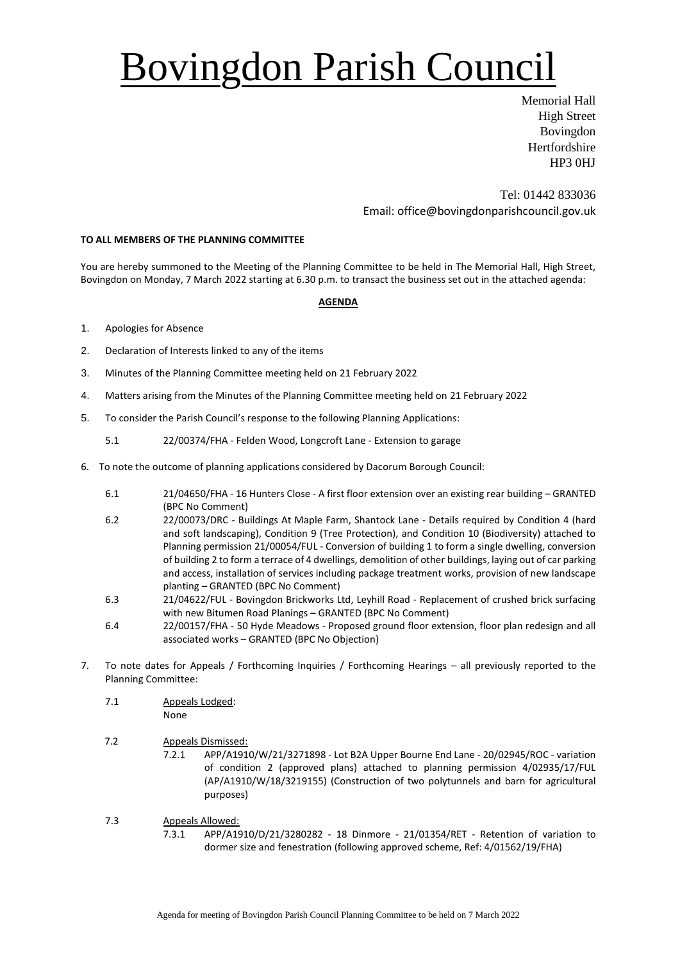# Bovingdon Parish Council

Memorial Hall High Street Bovingdon Hertfordshire HP3 0HJ

Tel: 01442 833036 Email: office@bovingdonparishcouncil.gov.uk

### **TO ALL MEMBERS OF THE PLANNING COMMITTEE**

You are hereby summoned to the Meeting of the Planning Committee to be held in The Memorial Hall, High Street, Bovingdon on Monday, 7 March 2022 starting at 6.30 p.m. to transact the business set out in the attached agenda:

#### **AGENDA**

- 1. Apologies for Absence
- 2. Declaration of Interests linked to any of the items
- 3. Minutes of the Planning Committee meeting held on 21 February 2022
- 4. Matters arising from the Minutes of the Planning Committee meeting held on 21 February 2022
- 5. To consider the Parish Council's response to the following Planning Applications:
	- 5.1 22/00374/FHA Felden Wood, Longcroft Lane Extension to garage
- 6. To note the outcome of planning applications considered by Dacorum Borough Council:
	- 6.1 21/04650/FHA 16 Hunters Close A first floor extension over an existing rear building GRANTED (BPC No Comment)
	- 6.2 22/00073/DRC Buildings At Maple Farm, Shantock Lane Details required by Condition 4 (hard and soft landscaping), Condition 9 (Tree Protection), and Condition 10 (Biodiversity) attached to Planning permission 21/00054/FUL - Conversion of building 1 to form a single dwelling, conversion of building 2 to form a terrace of 4 dwellings, demolition of other buildings, laying out of car parking and access, installation of services including package treatment works, provision of new landscape planting – GRANTED (BPC No Comment)
	- 6.3 21/04622/FUL Bovingdon Brickworks Ltd, Leyhill Road Replacement of crushed brick surfacing with new Bitumen Road Planings – GRANTED (BPC No Comment)
	- 6.4 22/00157/FHA 50 Hyde Meadows Proposed ground floor extension, floor plan redesign and all associated works – GRANTED (BPC No Objection)
- 7. To note dates for Appeals / Forthcoming Inquiries / Forthcoming Hearings all previously reported to the Planning Committee:
	- 7.1 Appeals Lodged:
		- None
	- 7.2 Appeals Dismissed:
		- 7.2.1 APP/A1910/W/21/3271898 Lot B2A Upper Bourne End Lane 20/02945/ROC variation of condition 2 (approved plans) attached to planning permission 4/02935/17/FUL (AP/A1910/W/18/3219155) (Construction of two polytunnels and barn for agricultural purposes)
	- 7.3 Appeals Allowed:
		- 7.3.1 APP/A1910/D/21/3280282 18 Dinmore 21/01354/RET Retention of variation to dormer size and fenestration (following approved scheme, Ref: 4/01562/19/FHA)